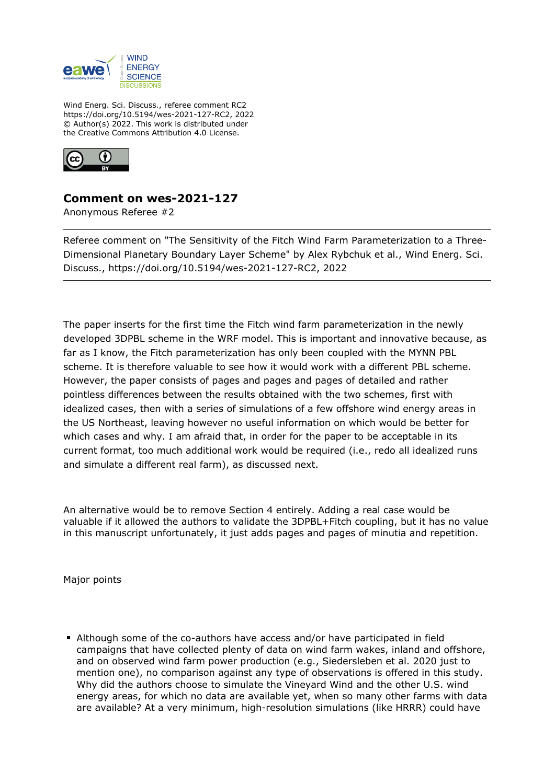

Wind Energ. Sci. Discuss., referee comment RC2 https://doi.org/10.5194/wes-2021-127-RC2, 2022 © Author(s) 2022. This work is distributed under the Creative Commons Attribution 4.0 License.



## **Comment on wes-2021-127**

Anonymous Referee #2

Referee comment on "The Sensitivity of the Fitch Wind Farm Parameterization to a Three-Dimensional Planetary Boundary Layer Scheme" by Alex Rybchuk et al., Wind Energ. Sci. Discuss., https://doi.org/10.5194/wes-2021-127-RC2, 2022

The paper inserts for the first time the Fitch wind farm parameterization in the newly developed 3DPBL scheme in the WRF model. This is important and innovative because, as far as I know, the Fitch parameterization has only been coupled with the MYNN PBL scheme. It is therefore valuable to see how it would work with a different PBL scheme. However, the paper consists of pages and pages and pages of detailed and rather pointless differences between the results obtained with the two schemes, first with idealized cases, then with a series of simulations of a few offshore wind energy areas in the US Northeast, leaving however no useful information on which would be better for which cases and why. I am afraid that, in order for the paper to be acceptable in its current format, too much additional work would be required (i.e., redo all idealized runs and simulate a different real farm), as discussed next.

An alternative would be to remove Section 4 entirely. Adding a real case would be valuable if it allowed the authors to validate the 3DPBL+Fitch coupling, but it has no value in this manuscript unfortunately, it just adds pages and pages of minutia and repetition.

Major points

Although some of the co-authors have access and/or have participated in field campaigns that have collected plenty of data on wind farm wakes, inland and offshore, and on observed wind farm power production (e.g., Siedersleben et al. 2020 just to mention one), no comparison against any type of observations is offered in this study. Why did the authors choose to simulate the Vineyard Wind and the other U.S. wind energy areas, for which no data are available yet, when so many other farms with data are available? At a very minimum, high-resolution simulations (like HRRR) could have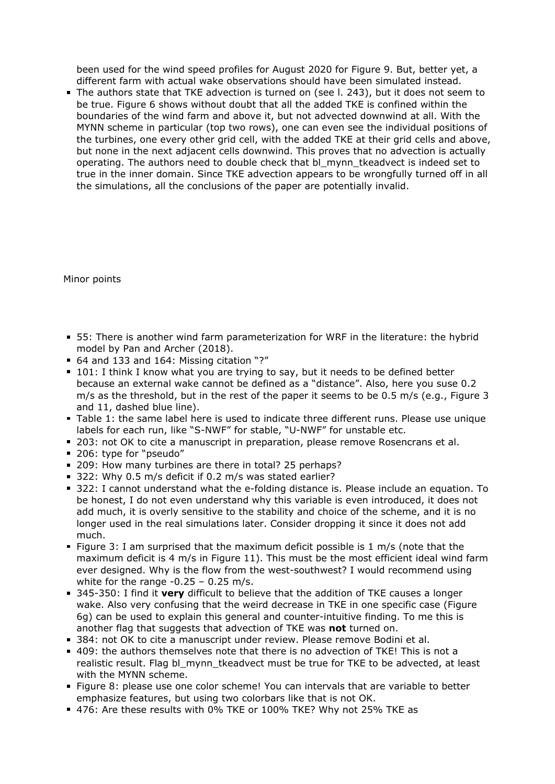been used for the wind speed profiles for August 2020 for Figure 9. But, better yet, a different farm with actual wake observations should have been simulated instead.

The authors state that TKE advection is turned on (see l. 243), but it does not seem to be true. Figure 6 shows without doubt that all the added TKE is confined within the boundaries of the wind farm and above it, but not advected downwind at all. With the MYNN scheme in particular (top two rows), one can even see the individual positions of the turbines, one every other grid cell, with the added TKE at their grid cells and above, but none in the next adjacent cells downwind. This proves that no advection is actually operating. The authors need to double check that bl\_mynn\_tkeadvect is indeed set to true in the inner domain. Since TKE advection appears to be wrongfully turned off in all the simulations, all the conclusions of the paper are potentially invalid.

Minor points

- 55: There is another wind farm parameterization for WRF in the literature: the hybrid model by Pan and Archer (2018).
- 64 and 133 and 164: Missing citation "?"
- 101: I think I know what you are trying to say, but it needs to be defined better because an external wake cannot be defined as a "distance". Also, here you suse 0.2 m/s as the threshold, but in the rest of the paper it seems to be 0.5 m/s (e.g., Figure 3 and 11, dashed blue line).
- Table 1: the same label here is used to indicate three different runs. Please use unique labels for each run, like "S-NWF" for stable, "U-NWF" for unstable etc.
- 203: not OK to cite a manuscript in preparation, please remove Rosencrans et al.
- 206: type for "pseudo"
- 209: How many turbines are there in total? 25 perhaps?
- 322: Why 0.5 m/s deficit if 0.2 m/s was stated earlier?
- 322: I cannot understand what the e-folding distance is. Please include an equation. To be honest, I do not even understand why this variable is even introduced, it does not add much, it is overly sensitive to the stability and choice of the scheme, and it is no longer used in the real simulations later. Consider dropping it since it does not add much.
- Figure 3: I am surprised that the maximum deficit possible is 1 m/s (note that the maximum deficit is 4 m/s in Figure 11). This must be the most efficient ideal wind farm ever designed. Why is the flow from the west-southwest? I would recommend using white for the range  $-0.25 - 0.25$  m/s.
- 345-350: I find it **very** difficult to believe that the addition of TKE causes a longer wake. Also very confusing that the weird decrease in TKE in one specific case (Figure 6g) can be used to explain this general and counter-intuitive finding. To me this is another flag that suggests that advection of TKE was **not** turned on.
- 384: not OK to cite a manuscript under review. Please remove Bodini et al.
- 409: the authors themselves note that there is no advection of TKE! This is not a realistic result. Flag bl\_mynn\_tkeadvect must be true for TKE to be advected, at least with the MYNN scheme.
- Figure 8: please use one color scheme! You can intervals that are variable to better emphasize features, but using two colorbars like that is not OK.
- 476: Are these results with 0% TKE or 100% TKE? Why not 25% TKE as